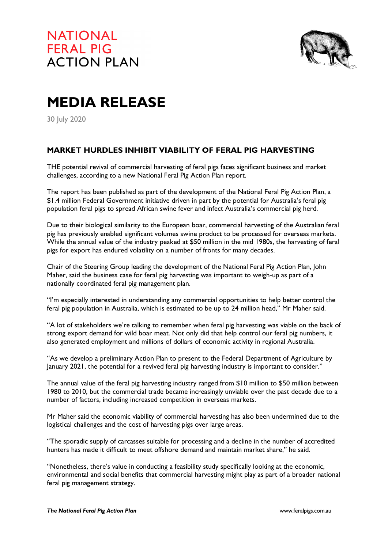

## **MEDIA RELEASE**

30 July 2020

## **MARKET HURDLES INHIBIT VIABILITY OF FERAL PIG HARVESTING**

THE potential revival of commercial harvesting of feral pigs faces significant business and market challenges, according to a new National Feral Pig Action Plan report.

The report has been published as part of the development of the National Feral Pig Action Plan, a \$1.4 million Federal Government initiative driven in part by the potential for Australia's feral pig population feral pigs to spread African swine fever and infect Australia's commercial pig herd.

Due to their biological similarity to the European boar, commercial harvesting of the Australian feral pig has previously enabled significant volumes swine product to be processed for overseas markets. While the annual value of the industry peaked at \$50 million in the mid 1980s, the harvesting of feral pigs for export has endured volatility on a number of fronts for many decades.

Chair of the Steering Group leading the development of the National Feral Pig Action Plan, John Maher, said the business case for feral pig harvesting was important to weigh-up as part of a nationally coordinated feral pig management plan.

"I'm especially interested in understanding any commercial opportunities to help better control the feral pig population in Australia, which is estimated to be up to 24 million head," Mr Maher said.

"A lot of stakeholders we're talking to remember when feral pig harvesting was viable on the back of strong export demand for wild boar meat. Not only did that help control our feral pig numbers, it also generated employment and millions of dollars of economic activity in regional Australia.

"As we develop a preliminary Action Plan to present to the Federal Department of Agriculture by January 2021, the potential for a revived feral pig harvesting industry is important to consider."

The annual value of the feral pig harvesting industry ranged from \$10 million to \$50 million between 1980 to 2010, but the commercial trade became increasingly unviable over the past decade due to a number of factors, including increased competition in overseas markets.

Mr Maher said the economic viability of commercial harvesting has also been undermined due to the logistical challenges and the cost of harvesting pigs over large areas.

"The sporadic supply of carcasses suitable for processing and a decline in the number of accredited hunters has made it difficult to meet offshore demand and maintain market share," he said.

"Nonetheless, there's value in conducting a feasibility study specifically looking at the economic, environmental and social benefits that commercial harvesting might play as part of a broader national feral pig management strategy.